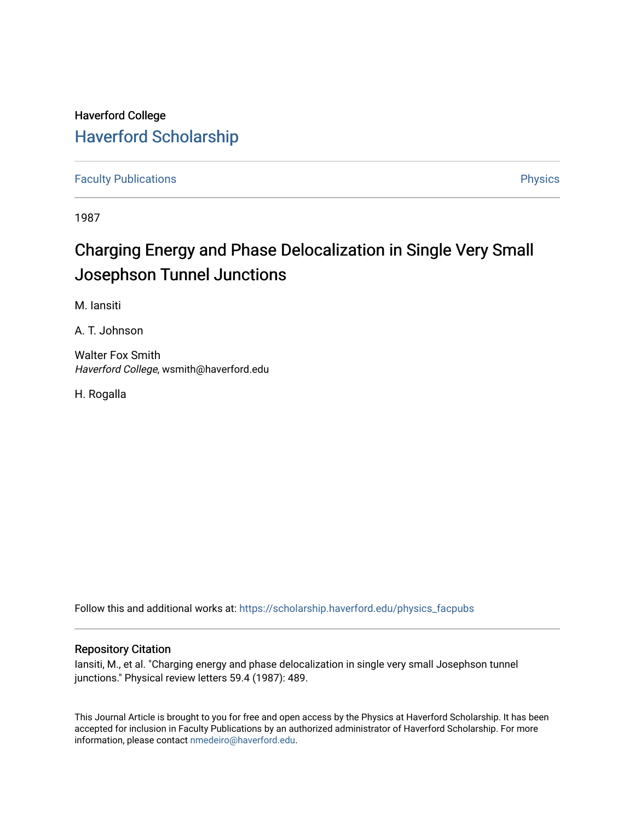## Haverford College [Haverford Scholarship](https://scholarship.haverford.edu/)

[Faculty Publications](https://scholarship.haverford.edu/physics_facpubs) **Physics** 

1987

## Charging Energy and Phase Delocalization in Single Very Small Josephson Tunnel Junctions

M. Iansiti

A. T. Johnson

Walter Fox Smith Haverford College, wsmith@haverford.edu

H. Rogalla

Follow this and additional works at: [https://scholarship.haverford.edu/physics\\_facpubs](https://scholarship.haverford.edu/physics_facpubs?utm_source=scholarship.haverford.edu%2Fphysics_facpubs%2F232&utm_medium=PDF&utm_campaign=PDFCoverPages) 

## Repository Citation

Iansiti, M., et al. "Charging energy and phase delocalization in single very small Josephson tunnel junctions." Physical review letters 59.4 (1987): 489.

This Journal Article is brought to you for free and open access by the Physics at Haverford Scholarship. It has been accepted for inclusion in Faculty Publications by an authorized administrator of Haverford Scholarship. For more information, please contact [nmedeiro@haverford.edu.](mailto:nmedeiro@haverford.edu)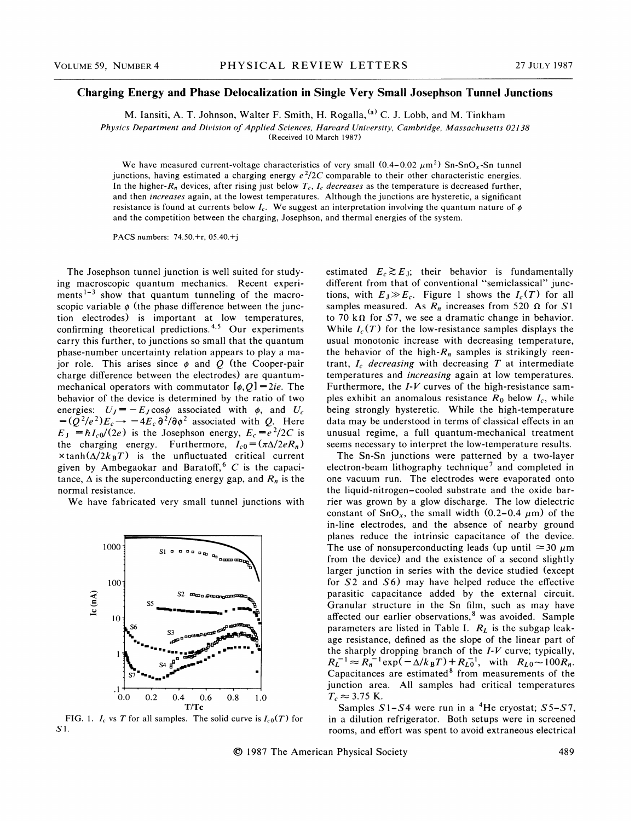## Charging Energy and Phase Delocalization in Single Very Small Josephson Tunnel Junctions

M. Iansiti, A. T. Johnson, Walter F. Smith, H. Rogalla,  $^{(a)}$  C. J. Lobb, and M. Tinkham

Physics Department and Division of Applied Sciences, Harvard University, Cambridge, Massachusetts 02138

(Received 10 March 1987)

We have measured current-voltage characteristics of very small  $(0.4-0.02 \mu m^2)$  Sn-SnO<sub>x</sub>-Sn tunnel junctions, having estimated a charging energy  $e^2/2C$  comparable to their other characteristic energies. In the higher- $R_n$  devices, after rising just below  $T_c$ ,  $I_c$  decreases as the temperature is decreased further, and then increases again, at the lowest temperatures. Although the junctions are hysteretic, a significant resistance is found at currents below  $I_c$ . We suggest an interpretation involving the quantum nature of  $\phi$ and the competition between the charging, Josephson, and thermal energies of the system.

PACS numbers: 74.50.+r, 05.40.+j

The Josephson tunnel junction is well suited for studying macroscopic quantum mechanics. Recent experiments<sup> $1-3$ </sup> show that quantum tunneling of the macroscopic variable  $\phi$  (the phase difference between the junction electrodes) is important at low temperatures, confirming theoretical predictions.<sup>4,5</sup> Our experiments carry this further, to junctions so small that the quantum phase-number uncertainty relation appears to play a major role. This arises since  $\phi$  and Q (the Cooper-pair charge difference between the electrodes) are quantummechanical operators with commutator  $[\phi, Q] = 2ie$ . The. behavior of the device is determined by the ratio of two energies:  $U_J = -E_J \cos \phi$  associated with  $\phi$ , and  $U_c$  $=(Q^2/e^2)E_c \rightarrow -4E_c \delta^2/\delta\rho^2$  associated with Q. Here  $E_{\rm J} = \hbar I_{\rm c0}/(2e)$  is the Josephson energy,  $E_{\rm c} = e^2/2C$  is the charging energy. Furthermore,  $I_{c0} = (\pi \Delta/2eR_n)$  $\times \tanh(\Delta/2k_BT)$  is the unfluctuated critical current given by Ambegaokar and Baratoff,<sup>6</sup>  $C$  is the capacitance,  $\Delta$  is the superconducting energy gap, and  $R_n$  is the normal resistance.

We have fabricated very small tunnel junctions with



FIG. 1.  $I_c$  vs T for all samples. The solid curve is  $I_{c0}(T)$  for S1.

estimated  $E_c \gtrsim E_J$ ; their behavior is fundamentally diferent from that of conventional "semiclassical" junctions, with  $E_J \gg E_c$ . Figure 1 shows the  $I_c(T)$  for all samples measured. As  $R_n$  increases from 520  $\Omega$  for S1 to 70 k $\Omega$  for S7, we see a dramatic change in behavior. While  $I_c(T)$  for the low-resistance samples displays the usual monotonic increase with decreasing temperature, the behavior of the high- $R_n$  samples is strikingly reentrant,  $I_c$  decreasing with decreasing  $T$  at intermediate temperatures and increasing again at low temperatures. Furthermore, the  $I-V$  curves of the high-resistance samples exhibit an anomalous resistance  $R_0$  below  $I_c$ , while being strongly hysteretic. While the high-temperature data may be understood in terms of classical effects in an unusual regime, a full quantum-mechanical treatment seems necessary to interpret the low-temperature results.

The Sn-Sn junctions were patterned by a two-layer electron-beam lithography technique<sup>7</sup> and completed in one vacuum run. The electrodes were evaporated onto the liquid-nitrogen-cooled substrate and the oxide barrier was grown by a glow discharge. The low dielectric constant of  $SnO<sub>x</sub>$ , the small width (0.2-0.4  $\mu$ m) of the in-line electrodes, and the absence of nearby ground planes reduce the intrinsic capacitance of the device. The use of nonsuperconducting leads (up until  $\approx$  30  $\mu$ m from the device) and the existence of a second slightly larger junction in series with the device studied (except for S2 and S6) may have helped reduce the effective parasitic capacitance added by the external circuit. Granular structure in the Sn film, such as may have affected our earlier observations,<sup>8</sup> was avoided. Sample parameters are listed in Table I.  $R_L$  is the subgap leakage resistance, defined as the slope of the linear part of the sharply dropping branch of the  $I-V$  curve; typically,  $R_L^{-1} \approx R_n^{-1} \exp(-\Delta/k_B T) + R_{L0}^{-1}$ , with  $R_{L0} \sim 100 R_n$ .  $Capacitances$  are estimated<sup>8</sup> from measurements of the junction area. All samples had critical temperatures  $T_c \approx 3.75$  K.

Samples  $S1-S4$  were run in a <sup>4</sup>He cryostat;  $S5-S7$ , in a dilution refrigerator. Both setups were in screened rooms, and effort was spent to avoid extraneous electrical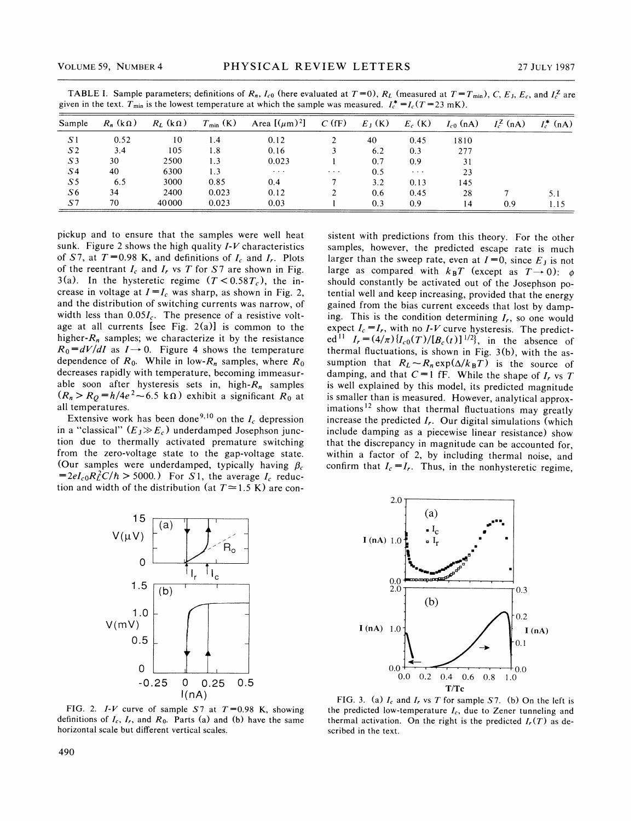| Sample         | $R_n$ (k $\Omega$ ) | $R_L$ (k $\Omega$ ) | $T_{\min}$ (K) | Area $[(\mu m)^2]$ | $C$ (fF)                     | $E_J(K)$ | $E_c$ (K)            | $I_{c0}$ (nA) | $I_c^{\mathcal{Z}}$ (nA) | $I_c^*$ (nA) |
|----------------|---------------------|---------------------|----------------|--------------------|------------------------------|----------|----------------------|---------------|--------------------------|--------------|
| S <sub>1</sub> | 0.52                | 10                  | 1.4            | 0.12               |                              | 40       | 0.45                 | 1810          |                          |              |
| S <sub>2</sub> | 3.4                 | 105                 | 1.8            | 0.16               |                              | 6.2      | 0.3                  | 277           |                          |              |
| S <sub>3</sub> | 30                  | 2500                | 1.3            | 0.023              |                              | 0.7      | 0.9                  | 31            |                          |              |
| S <sub>4</sub> | 40                  | 6300                | 1.3            | $\cdots$           | $\sim$ 100 $\sim$ 100 $\sim$ | 0.5      | $\sim$ $\sim$ $\sim$ | 23            |                          |              |
| S <sub>5</sub> | 6.5                 | 3000                | 0.85           | 0.4                |                              | 3.2      | 0.13                 | 145           |                          |              |
| S <sub>6</sub> | 34                  | 2400                | 0.023          | 0.12               |                              | 0.6      | 0.45                 | 28            |                          | 5.1          |
| S <sub>7</sub> | 70                  | 40000               | 0.023          | 0.03               |                              | 0.3      | 0.9                  | 14            | 0.9                      | 1.15         |

TABLE I. Sample parameters; definitions of  $R_n$ ,  $I_{c0}$  (here evaluated at  $T=0$ ),  $R_L$  (measured at  $T=T_{min}$ ), C, E<sub>J</sub>, E<sub>c</sub>, and  $I_c^Z$  are given in the text.  $T_{\text{min}}$  is the lowest temperature at which the sample was measured.  $I_c^* = I_c(T = 23 \text{ mK})$ .

pickup and to ensure that the samples were well heat sunk. Figure 2 shows the high quality  $I-V$  characteristics of S7, at  $T=0.98$  K, and definitions of  $I_c$  and  $I_r$ . Plots of the reentrant  $I_c$  and  $I_r$  vs T for S7 are shown in Fig. 3(a). In the hysteretic regime  $(T < 0.58T_c)$ , the increase in voltage at  $I=I_c$  was sharp, as shown in Fig. 2, and the distribution of switching currents was narrow, of width less than  $0.05I_c$ . The presence of a resistive voltage at all currents [see Fig. 2(a)] is common to the higher- $R_n$  samples; we characterize it by the resistance  $R_0 = dV/dI$  as  $I \rightarrow 0$ . Figure 4 shows the temperature dependence of  $R_0$ . While in low- $R_n$  samples, where  $R_0$ decreases rapidly with temperature, becoming immeasurable soon after hysteresis sets in, high- $R_n$  samples ( $R_n > R_Q = h/4e^2 \sim 6.5 \text{ k}\Omega$ ) exhibit a significant  $R_0$  at all temperatures all temperatures.

Extensive work has been done<sup>9,10</sup> on the  $I_c$  depression in a "classical"  $(E_X \gg E_c)$  underdamped Josephson junction due to thermally activated premature switching from the zero-voltage state to the gap-voltage state. (Our samples were underdamped, typically having  $\beta_c$  $=2eI_{c0}R_L^2C/\hbar > 5000$ . For S1, the average I<sub>c</sub> reduction and width of the distribution (at  $T \approx 1.5$  K) are con-





FIG. 2. I-V curve of sample S7 at  $T=0.98$  K, showing definitions of  $I_c$ ,  $I_r$ , and  $R_0$ . Parts (a) and (b) have the same horizontal scale but different vertical scales.



FIG. 3. (a)  $I_c$  and  $I_r$  vs T for sample S7. (b) On the left is the predicted low-temperature  $I_c$ , due to Zener tunneling and thermal activation. On the right is the predicted  $I_r(T)$  as described in the text.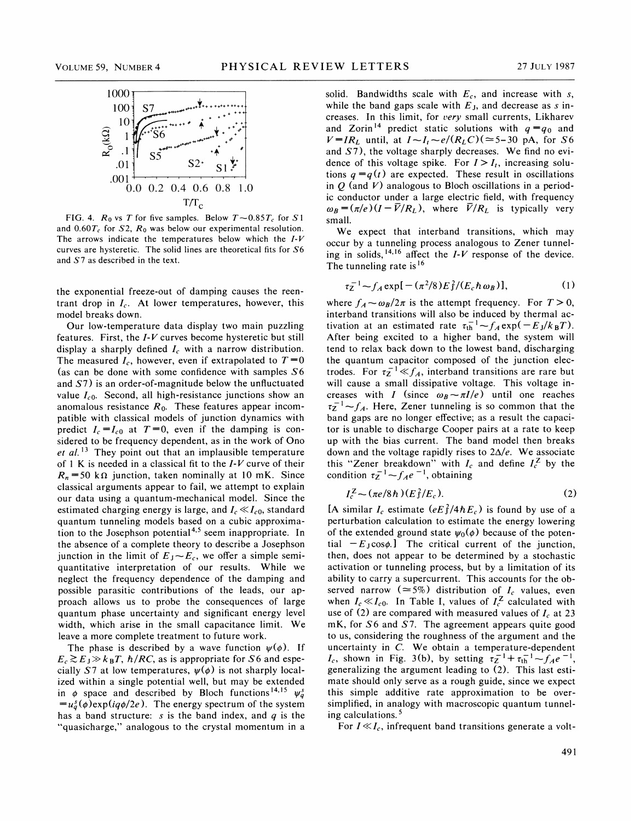

FIG. 4.  $R_0$  vs T for five samples. Below  $T \sim 0.85T_c$  for S1 and  $0.60T_c$  for S2,  $R_0$  was below our experimental resolution. The arrows indicate the temperatures below which the  $I-V$ curves are hysteretic. The solid lines are theoretical fits for S6 and S7 as described in the text.

the exponential freeze-out of damping causes the reentrant drop in  $I_c$ . At lower temperatures, however, this model breaks down.

Our low-temperature data display two main puzzling features. First, the  $I-V$  curves become hysteretic but still display a sharply defined  $I_c$  with a narrow distribution. The measured  $I_c$ , however, even if extrapolated to  $T=0$ (as can be done with some confidence with samples  $S6$ and S7) is an order-of-magnitude below the unfluctuated value  $I_{c0}$ . Second, all high-resistance junctions show an anomalous resistance  $R_0$ . These features appear incompatible with classical models of junction dynamics with predict  $I_c = I_{c0}$  at  $T=0$ , even if the damping is considered to be frequency dependent, as in the work of Ono et al.<sup>13</sup> They point out that an implausible temperature of 1 K is needed in a classical fit to the  $I-V$  curve of their  $R_n = 50$  k $\Omega$  junction, taken nominally at 10 mK. Since classical arguments appear to fail, we attempt to explain our data using a quantum-mechanical model. Since the estimated charging energy is large, and  $I_c \ll I_{c0}$ , standard quantum tunneling models based on a cubic approximation to the Josephson potential<sup>4,5</sup> seem inappropriate. In the absence of a complete theory to describe a Josephson junction in the limit of  $E_J \sim E_c$ , we offer a simple semiquantitative interpretation of our results. While we neglect the frequency dependence of the damping and possible parasitic contributions of the leads, our approach allows us to probe the consequences of large quantum phase uncertainty and significant energy level width, which arise in the small capacitance limit. We leave a more complete treatment to future work.

The phase is described by a wave function  $\psi(\phi)$ . If  $E_c \gtrsim E_J \gg k_B T$ ,  $\hbar / RC$ , as is appropriate for S6 and especially S7 at low temperatures,  $\psi(\phi)$  is not sharply localized within a single potential well, but may be extended ized within a single potential well, but may be extended<br>in  $\phi$  space and described by Bloch functions  $^{14,15}$   $\psi_q^s$  $=u_{a}^{s}(\phi)$ exp(iq $\phi/2e$ ). The energy spectrum of the system has a band structure: s is the band index, and  $q$  is the "quasicharge," analogous to the crystal momentum in a

solid. Bandwidths scale with  $E_c$ , and increase with s, while the band gaps scale with  $E_J$ , and decrease as s increases. In this limit, for very small currents, Likharev and Zorin<sup>14</sup> predict static solutions with  $q = q_0$  and  $V=IR_L$  until, at  $I \sim I_t \sim e/(R_L C)$  ( $\approx$  5-30 pA, for S6 and S7), the voltage sharply decreases. We find no evidence of this voltage spike. For  $I > I_i$ , increasing solutions  $q = q(t)$  are expected. These result in oscillations in  $Q$  (and V) analogous to Bloch oscillations in a periodic conductor under a large electric field, with frequency  $\omega_B = (\pi/e) (I - \bar{V}/R_L)$ , where  $\bar{V}/R_L$  is typically very small.

We expect that interband transitions, which may occur by a tunneling process analogous to Zener tunnelbecur by a tunneling process analogous to Zener tunnel-<br>ng in solids,  $14.16$  affect the *I-V* response of the device. The tunneling rate is  $16$ 

$$
\tau_Z^{-1} - f_A \exp[-(\pi^2/8)E_f^2/(E_c \hbar \omega_B)], \tag{1}
$$

the Zener breakdown with the<br>
condition  $\tau_Z^{-1} \sim f_A e^{-1}$ , obtaining<br>  $I_c^Z \sim (\pi e/8\hbar) (E_f^2/E_c)$ . where  $f_A \sim \omega_B/2\pi$  is the attempt frequency. For  $T > 0$ , interband transitions will also be induced by thermal actherband transitions will also be induced by thermal activation at an estimated rate  $\tau_{\text{th}}^{-1} \sim f_A \exp(-E_J/k_B T)$ . After being excited to a higher band, the system will tend to relax back down to the lowest band, discharging the quantum capacitor composed of the junction electrodes. For  $\tau_z^{-1} \ll f_A$ , interband transitions are rare but will cause a small dissipative voltage. This voltage increases with I (since  $\omega_B \sim \pi I/e$ ) until one reaches  $z^{-1}$   $-f_A$ . Here, Zener tunneling is so common that the band gaps are no longer effective; as a result the capacitor is unable to discharge Cooper pairs at a rate to keep up with the bias current. The band model then breaks down and the voltage rapidly rises to  $2\Delta/e$ . We associate this "Zener breakdown" with  $I_c$  and define  $I_c^Z$  by the

$$
I_c^Z \sim (\pi e/8\hbar) (E_f^2/E_c). \tag{2}
$$

[A similar  $I_c$  estimate  $(eE_1^2/4\hbar E_c)$  is found by use of a perturbation calculation to estimate the energy lowering of the extended ground state  $\psi_0(\phi)$  because of the potential  $-E_{\text{J}}\cos\phi$ . The critical current of the junction, then, does not appear to be determined by a stochastic activation or tunneling process, but by a limitation of its ability to carry a supercurrent. This accounts for the observed narrow ( $\approx$ 5%) distribution of  $I_c$  values, even when  $I_c \ll I_{c0}$ . In Table I, values of  $I_c^Z$  calculated with use of (2) are compared with measured values of  $I_c$  at 23 mK, for S6 and S7. The agreement appears quite good to us, considering the roughness of the argument and the uncertainty in C. We obtain a temperature-dependent incertainty in C. we obtain a temperature-dependence-<br> $I_c$ , shown in Fig. 3(b), by setting  $\tau_Z^{-1} + \tau_{\text{th}}^{-1} - f_A e$ generalizing the argument leading to (2). This last estimate should only serve as a rough guide, since we expect this simple additive rate approximation to be oversimplified, in analogy with macroscopic quantum tunneling calculations.<sup>5</sup>

For  $I \ll I_c$ , infrequent band transitions generate a volt-